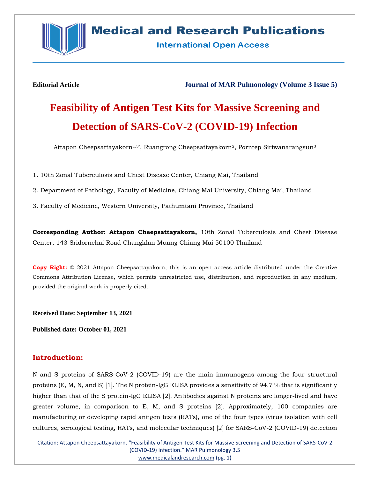

## **Medical and Research Publications**

**International Open Access** 

**Editorial Article Journal of MAR Pulmonology (Volume 3 Issue 5)**

# **Feasibility of Antigen Test Kits for Massive Screening and Detection of SARS-CoV-2 (COVID-19) Infection**

Attapon Cheepsattayakorn<sup>1,3</sup>', Ruangrong Cheepsattayakorn<sup>2</sup>, Porntep Siriwanarangsun<sup>3</sup>

1. 10th Zonal Tuberculosis and Chest Disease Center, Chiang Mai, Thailand

2. Department of Pathology, Faculty of Medicine, Chiang Mai University, Chiang Mai, Thailand

3. Faculty of Medicine, Western University, Pathumtani Province, Thailand

**Corresponding Author: Attapon Cheepsattayakorn,** 10th Zonal Tuberculosis and Chest Disease Center, 143 Sridornchai Road Changklan Muang Chiang Mai 50100 Thailand

**Copy Right:** © 2021 Attapon Cheepsattayakorn, this is an open access article distributed under the Creative Commons Attribution License, which permits unrestricted use, distribution, and reproduction in any medium, provided the original work is properly cited.

**Received Date: September 13, 2021**

**Published date: October 01, 2021**

### **Introduction:**

N and S proteins of SARS-CoV-2 (COVID-19) are the main immunogens among the four structural proteins (E, M, N, and S) [1]. The N protein-IgG ELISA provides a sensitivity of 94.7 % that is significantly higher than that of the S protein-IgG ELISA [2]. Antibodies against N proteins are longer-lived and have greater volume, in comparison to E, M, and S proteins [2]. Approximately, 100 companies are manufacturing or developing rapid antigen tests (RATs), one of the four types (virus isolation with cell cultures, serological testing, RATs, and molecular techniques) [2] for SARS-CoV-2 (COVID-19) detection

Citation: Attapon Cheepsattayakorn. "Feasibility of Antigen Test Kits for Massive Screening and Detection of SARS-CoV-2 (COVID-19) Infection." MAR Pulmonology 3.5 [www.medicalandresearch.com](http://www.medicalandresearch.com/) (pg. 1)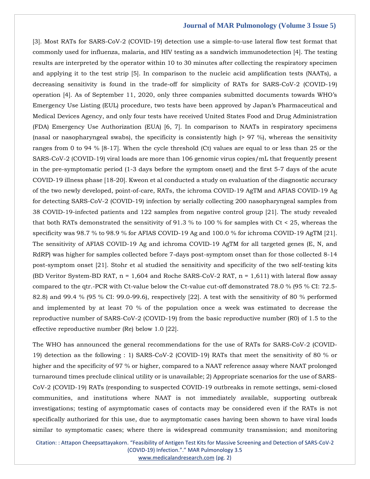[3]. Most RATs for SARS-CoV-2 (COVID-19) detection use a simple-to-use lateral flow test format that commonly used for influenza, malaria, and HIV testing as a sandwich immunodetection [4]. The testing results are interpreted by the operator within 10 to 30 minutes after collecting the respiratory specimen and applying it to the test strip [5]. In comparison to the nucleic acid amplification tests (NAATs), a decreasing sensitivity is found in the trade-off for simplicity of RATs for SARS-CoV-2 (COVID-19) operation [4]. As of September 11, 2020, only three companies submitted documents towards WHO's Emergency Use Listing (EUL) procedure, two tests have been approved by Japan's Pharmaceutical and Medical Devices Agency, and only four tests have received United States Food and Drug Administration (FDA) Emergency Use Authorization (EUA) [6, 7]. In comparison to NAATs in respiratory specimens (nasal or nasopharyngeal swabs), the specificity is consistently high (> 97 %), whereas the sensitivity ranges from 0 to 94 % [8-17]. When the cycle threshold (Ct) values are equal to or less than 25 or the SARS-CoV-2 (COVID-19) viral loads are more than 106 genomic virus copies/mL that frequently present in the pre-symptomatic period (1-3 days before the symptom onset) and the first 5-7 days of the acute COVID-19 illness phase [18-20]. Kweon et al conducted a study on evaluation of the diagnostic accuracy of the two newly developed, point-of-care, RATs, the ichroma COVID-19 AgTM and AFIAS COVID-19 Ag for detecting SARS-CoV-2 (COVID-19) infection by serially collecting 200 nasopharyngeal samples from 38 COVID-19-infected patients and 122 samples from negative control group [21]. The study revealed that both RATs demonstrated the sensitivity of 91.3 % to 100 % for samples with Ct < 25, whereas the specificity was 98.7 % to 98.9 % for AFIAS COVID-19 Ag and 100.0 % for ichroma COVID-19 AgTM [21]. The sensitivity of AFIAS COVID-19 Ag and ichroma COVID-19 AgTM for all targeted genes (E, N, and RdRP) was higher for samples collected before 7-days post-symptom onset than for those collected 8-14 post-symptom onset [21]. Stohr et al studied the sensitivity and specificity of the two self-testing kits (BD Veritor System-BD RAT,  $n = 1,604$  and Roche SARS-CoV-2 RAT,  $n = 1,611$ ) with lateral flow assay compared to the qtr.-PCR with Ct-value below the Ct-value cut-off demonstrated 78.0 % (95 % CI: 72.5- 82.8) and 99.4 % (95 % CI: 99.0-99.6), respectively [22]. A test with the sensitivity of 80 % performed and implemented by at least 70 % of the population once a week was estimated to decrease the reproductive number of SARS-CoV-2 (COVID-19) from the basic reproductive number (R0) of 1.5 to the effective reproductive number (Re) below 1.0 [22].

The WHO has announced the general recommendations for the use of RATs for SARS-CoV-2 (COVID-19) detection as the following : 1) SARS-CoV-2 (COVID-19) RATs that meet the sensitivity of 80 % or higher and the specificity of 97 % or higher, compared to a NAAT reference assay where NAAT prolonged turnaround times preclude clinical utility or is unavailable; 2) Appropriate scenarios for the use of SARS-CoV-2 (COVID-19) RATs (responding to suspected COVID-19 outbreaks in remote settings, semi-closed communities, and institutions where NAAT is not immediately available, supporting outbreak investigations; testing of asymptomatic cases of contacts may be considered even if the RATs is not specifically authorized for this use, due to asymptomatic cases having been shown to have viral loads similar to symptomatic cases; where there is widespread community transmission; and monitoring

Citation: : Attapon Cheepsattayakorn. "Feasibility of Antigen Test Kits for Massive Screening and Detection of SARS-CoV-2 (COVID-19) Infection."." MAR Pulmonology 3.5 [www.medicalandresearch.com](http://www.medicalandresearch.com/) (pg. 2)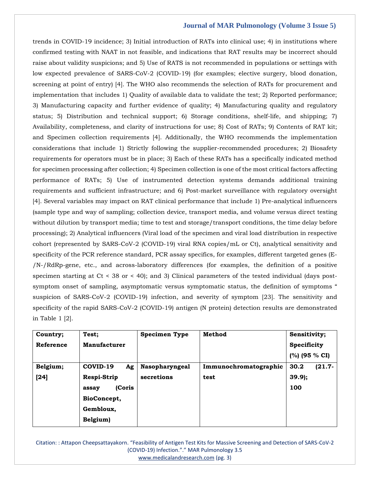trends in COVID-19 incidence; 3) Initial introduction of RATs into clinical use; 4) in institutions where confirmed testing with NAAT in not feasible, and indications that RAT results may be incorrect should raise about validity suspicions; and 5) Use of RATS is not recommended in populations or settings with low expected prevalence of SARS-CoV-2 (COVID-19) (for examples; elective surgery, blood donation, screening at point of entry) [4]. The WHO also recommends the selection of RATs for procurement and implementation that includes 1) Quality of available data to validate the test; 2) Reported performance; 3) Manufacturing capacity and further evidence of quality; 4) Manufacturing quality and regulatory status; 5) Distribution and technical support; 6) Storage conditions, shelf-life, and shipping; 7) Availability, completeness, and clarity of instructions for use; 8) Cost of RATs; 9) Contents of RAT kit; and Specimen collection requirements [4]. Additionally, the WHO recommends the implementation considerations that include 1) Strictly following the supplier-recommended procedures; 2) Biosafety requirements for operators must be in place; 3) Each of these RATs has a specifically indicated method for specimen processing after collection; 4) Specimen collection is one of the most critical factors affecting performance of RATs; 5) Use of instrumented detection systems demands additional training requirements and sufficient infrastructure; and 6) Post-market surveillance with regulatory oversight [4]. Several variables may impact on RAT clinical performance that include 1) Pre-analytical influencers (sample type and way of sampling; collection device, transport media, and volume versus direct testing without dilution by transport media; time to test and storage/transport conditions, the time delay before processing); 2) Analytical influencers (Viral load of the specimen and viral load distribution in respective cohort (represented by SARS-CoV-2 (COVID-19) viral RNA copies/mL or Ct), analytical sensitivity and specificity of the PCR reference standard, PCR assay specifics, for examples, different targeted genes (E- /N-/RdRp-gene, etc., and across-laboratory differences (for examples, the definition of a positive specimen starting at  $Ct < 38$  or  $< 40$ ); and 3) Clinical parameters of the tested individual (days postsymptom onset of sampling, asymptomatic versus symptomatic status, the definition of symptoms " suspicion of SARS-CoV-2 (COVID-19) infection, and severity of symptom [23]. The sensitivity and specificity of the rapid SARS-CoV-2 (COVID-19) antigen (N protein) detection results are demonstrated in Table 1 [2].

| Country;  | Test;               | <b>Specimen Type</b>  | Method                | Sensitivity;      |
|-----------|---------------------|-----------------------|-----------------------|-------------------|
| Reference | <b>Manufacturer</b> |                       |                       | Specificity       |
|           |                     |                       |                       | $(%)$ (95 % CI)   |
| Belgium;  | COVID-19<br>Ag      | <b>Nasopharyngeal</b> | Immunochromatographic | $(21.7 -$<br>30.2 |
| $[24]$    | Respi-Strip         | secretions            | test                  | $39.9$ ;          |
|           | (Coris<br>assay     |                       |                       | 100               |
|           | BioConcept,         |                       |                       |                   |
|           | Gembloux,           |                       |                       |                   |
|           | Belgium)            |                       |                       |                   |

Citation: : Attapon Cheepsattayakorn. "Feasibility of Antigen Test Kits for Massive Screening and Detection of SARS-CoV-2 (COVID-19) Infection."." MAR Pulmonology 3.5 [www.medicalandresearch.com](http://www.medicalandresearch.com/) (pg. 3)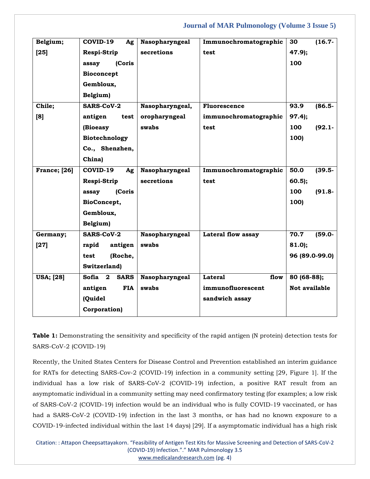| Belgium;            | COVID-19<br>Ag                                         | Nasopharyngeal  | Immunochromatographic  | $(16.7 -$<br>30   |
|---------------------|--------------------------------------------------------|-----------------|------------------------|-------------------|
| $[25]$              | Respi-Strip                                            | secretions      | test                   | $47.9$ ;          |
|                     | (Coris<br>assay                                        |                 |                        | 100               |
|                     | Bioconcept                                             |                 |                        |                   |
|                     | Gembloux,                                              |                 |                        |                   |
|                     | Belgium)                                               |                 |                        |                   |
| Chile;              | <b>SARS-CoV-2</b>                                      | Nasopharyngeal, | Fluorescence           | 93.9<br>$(86.5 -$ |
| [8]                 | antigen<br>test                                        | oropharyngeal   | immunochromatographic  | $97.4$ ;          |
|                     | (Bioeasy                                               | swabs           | test                   | 100<br>$(92.1 -$  |
|                     | Biotechnology                                          |                 |                        | 100)              |
|                     | Co., Shenzhen,                                         |                 |                        |                   |
|                     | China)                                                 |                 |                        |                   |
| <b>France;</b> [26] | COVID-19<br>Ag                                         | Nasopharyngeal  | Immunochromatographic  | 50.0<br>$(39.5 -$ |
|                     | Respi-Strip                                            | secretions      | test                   | $60.5$ );         |
|                     | (Coris<br>assay                                        |                 |                        | 100<br>$(91.8 -$  |
|                     | BioConcept,                                            |                 |                        | 100)              |
|                     | Gembloux,                                              |                 |                        |                   |
|                     | Belgium)                                               |                 |                        |                   |
| Germany;            | <b>SARS-CoV-2</b>                                      | Nasopharyngeal  | Lateral flow assay     | 70.7<br>$(59.0 -$ |
| $[27]$              | rapid<br>antigen                                       | swabs           |                        | 81.0;             |
|                     | (Roche,<br>test                                        |                 |                        | 96 (89.0-99.0)    |
|                     | Switzerland)                                           |                 |                        |                   |
| <b>USA</b> ; [28]   | <b>Sofia</b><br>$\overline{\mathbf{2}}$<br><b>SARS</b> | Nasopharyngeal  | <b>Lateral</b><br>flow | 80 (68-88);       |
|                     | antigen<br><b>FIA</b>                                  | swabs           | immunofluorescent      | Not available     |
|                     | (Quidel                                                |                 | sandwich assay         |                   |
|                     | Corporation)                                           |                 |                        |                   |

**Table 1:** Demonstrating the sensitivity and specificity of the rapid antigen (N protein) detection tests for SARS-CoV-2 (COVID-19)

Recently, the United States Centers for Disease Control and Prevention established an interim guidance for RATs for detecting SARS-Cov-2 (COVID-19) infection in a community setting [29, Figure 1]. If the individual has a low risk of SARS-CoV-2 (COVID-19) infection, a positive RAT result from an asymptomatic individual in a community setting may need confirmatory testing (for examples; a low risk of SARS-CoV-2 (COVID-19) infection would be an individual who is fully COVID-19 vaccinated, or has had a SARS-CoV-2 (COVID-19) infection in the last 3 months, or has had no known exposure to a COVID-19-infected individual within the last 14 days) [29]. If a asymptomatic individual has a high risk

Citation: : Attapon Cheepsattayakorn. "Feasibility of Antigen Test Kits for Massive Screening and Detection of SARS-CoV-2 (COVID-19) Infection."." MAR Pulmonology 3.5 [www.medicalandresearch.com](http://www.medicalandresearch.com/) (pg. 4)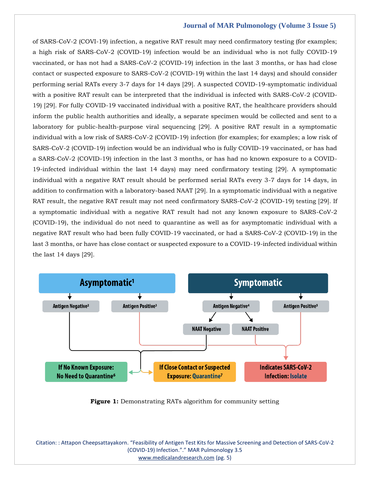of SARS-CoV-2 (COVI-19) infection, a negative RAT result may need confirmatory testing (for examples; a high risk of SARS-CoV-2 (COVID-19) infection would be an individual who is not fully COVID-19 vaccinated, or has not had a SARS-CoV-2 (COVID-19) infection in the last 3 months, or has had close contact or suspected exposure to SARS-CoV-2 (COVID-19) within the last 14 days) and should consider performing serial RATs every 3-7 days for 14 days [29]. A suspected COVID-19-symptomatic individual with a positive RAT result can be interpreted that the individual is infected with SARS-CoV-2 (COVID-19) [29]. For fully COVID-19 vaccinated individual with a positive RAT, the healthcare providers should inform the public health authorities and ideally, a separate specimen would be collected and sent to a laboratory for public-health-purpose viral sequencing [29]. A positive RAT result in a symptomatic individual with a low risk of SARS-CoV-2 (COVID-19) infection (for examples; for examples; a low risk of SARS-CoV-2 (COVID-19) infection would be an individual who is fully COVID-19 vaccinated, or has had a SARS-CoV-2 (COVID-19) infection in the last 3 months, or has had no known exposure to a COVID-19-infected individual within the last 14 days) may need confirmatory testing [29]. A symptomatic individual with a negative RAT result should be performed serial RATs every 3-7 days for 14 days, in addition to confirmation with a laboratory-based NAAT [29]. In a symptomatic individual with a negative RAT result, the negative RAT result may not need confirmatory SARS-CoV-2 (COVID-19) testing [29]. If a symptomatic individual with a negative RAT result had not any known exposure to SARS-CoV-2 (COVID-19), the individual do not need to quarantine as well as for asymptomatic individual with a negative RAT result who had been fully COVID-19 vaccinated, or had a SARS-CoV-2 (COVID-19) in the last 3 months, or have has close contact or suspected exposure to a COVID-19-infected individual within the last 14 days [29].



**Figure 1:** Demonstrating RATs algorithm for community setting

Citation: : Attapon Cheepsattayakorn. "Feasibility of Antigen Test Kits for Massive Screening and Detection of SARS-CoV-2 (COVID-19) Infection."." MAR Pulmonology 3.5 [www.medicalandresearch.com](http://www.medicalandresearch.com/) (pg. 5)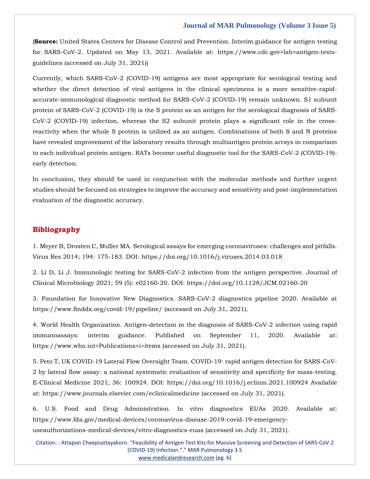(**Source:** United States Centers for Disease Control and Prevention. Interim guidance for antigen testing for SARS-CoV-2. Updated on May 13, 2021. Available at: https://www.cdc.gov>lab>antigen-testsguidelines (accessed on July 31, 2021))

Currently, which SARS-CoV-2 (COVID-19) antigens are most appropriate for serological testing and whether the direct detection of viral antigens in the clinical specimens is a more sensitive-rapidaccurate-immunological diagnostic method for SARS-CoV-2 (COVID-19) remain unknown. S1 subunit protein of SARS-CoV-2 (COVID-19) is the S protein as an antigen for the serological diagnosis of SARS-CoV-2 (COVID-19) infection, whereas the S2 subunit protein plays a significant role in the crossreactivity when the whole S protein is utilized as an antigen. Combinations of both S and N proteins have revealed improvement of the laboratory results through multiantigen protein arrays in comparison to each individual protein antigen. RATs become useful diagnostic tool for the SARS-CoV-2 (COVID-19) early detection.

In conclusion, they should be used in conjunction with the molecular methods and further urgent studies should be focused on strategies to improve the accuracy and sensitivity and post-implementation evaluation of the diagnostic accuracy.

#### **Bibliography**

1. Meyer B, Drosten C, Mü[ller MA. Serological assays for emerging coronaviruses:](1.%20Meyer%20B,%20Drosten%20C,%20Müller%20MA.%20Serological%20assays%20for%20emerging%20coronaviruses:%20challenges%20and%20pitfalls.%20Virus%20Res%202014;%20194:%20175-183.%20DOI:%20https:/doi.org/10.1016/j.viruses.2014.03.018) challenges and pitfalls. Virus Res 2014; 194: 175-183. DOI: [https://doi.org/10.1016/j.viruses.2014.03.018](1.%20Meyer%20B,%20Drosten%20C,%20Müller%20MA.%20Serological%20assays%20for%20emerging%20coronaviruses:%20challenges%20and%20pitfalls.%20Virus%20Res%202014;%20194:%20175-183.%20DOI:%20https:/doi.org/10.1016/j.viruses.2014.03.018)

2. [Li D, Li J. Immunologic testing for SARS-CoV-2 infection from the antigen perspective. Journal of](2.%20Li%20D,%20Li%20J.%20Immunologic%20testing%20for%20SARS-CoV-2%20infection%20from%20the%20antigen%20perspective.%20Journal%20of%20Clinical%20Microbiology%202021;%2059%20(5):%20e02160-20.%20DOI:%20https:/doi.org/10.1128/JCM.02160-20)  Clinical Microbiology 2021; 59 (5): e02160-20. DOI: [https://doi.org/10.1128/JCM.02160-20](2.%20Li%20D,%20Li%20J.%20Immunologic%20testing%20for%20SARS-CoV-2%20infection%20from%20the%20antigen%20perspective.%20Journal%20of%20Clinical%20Microbiology%202021;%2059%20(5):%20e02160-20.%20DOI:%20https:/doi.org/10.1128/JCM.02160-20)

3. [Foundation for Innovative New Diagnostics. SARS-CoV-2 diagnostics pipeline 2020. Available at](3.%20Foundation%20for%20Innovative%20New%20Diagnostics.%20SARS-CoV-2%20diagnostics%20pipeline%202020.%20Available%20at%20https:/www.finddx.org/covid-19/pipeline/%20(accessed%20on%20July%2031,%202021).)  [https://www.finddx.org/covid-19/pipeline/ \(accessed on July 31, 2021\).](3.%20Foundation%20for%20Innovative%20New%20Diagnostics.%20SARS-CoV-2%20diagnostics%20pipeline%202020.%20Available%20at%20https:/www.finddx.org/covid-19/pipeline/%20(accessed%20on%20July%2031,%202021).)

4. [World Health Organization. Antigen-detection in the diagnosis of SARS-CoV-2 infection using rapid](4.%20World%20Health%20Organization.%20Antigen-detection%20in%20the%20diagnosis%20of%20SARS-CoV-2%20infection%20using%20rapid%20immunoassays:%20interim%20guidance.%20Published%20on%20September%2011,%202020.%20Available%20at:%20https:/www.who.int%3ePublications%3ei%3eitems%20(accessed%20on%20July%2031,%202021).)  immunoassays: [interim guidance. Published on September 11, 2020. Available at:](4.%20World%20Health%20Organization.%20Antigen-detection%20in%20the%20diagnosis%20of%20SARS-CoV-2%20infection%20using%20rapid%20immunoassays:%20interim%20guidance.%20Published%20on%20September%2011,%202020.%20Available%20at:%20https:/www.who.int%3ePublications%3ei%3eitems%20(accessed%20on%20July%2031,%202021).) [https://www.who.int>Publications>i>items \(accessed on July 31, 2021\).](4.%20World%20Health%20Organization.%20Antigen-detection%20in%20the%20diagnosis%20of%20SARS-CoV-2%20infection%20using%20rapid%20immunoassays:%20interim%20guidance.%20Published%20on%20September%2011,%202020.%20Available%20at:%20https:/www.who.int%3ePublications%3ei%3eitems%20(accessed%20on%20July%2031,%202021).)

5. [Peto T, UK COVID-19 Lateral Flow Oversight Team. COVID-19:](5.%20Peto%20T,%20UK%20COVID-19%20Lateral%20Flow%20Oversight%20Team.%20COVID-19:%20rapid%20antigen%20detection%20for%20SARS-CoV-2%20by%20lateral%20flow%20assay:%20a%20national%20systematic%20evaluation%20of%20sensitivity%20and%20specificity%20for%20mass-testing.%20E-Clinical%20Medicine%202021;%2036:%20100924.%20DOI:%20https:/doi.org/10.1016/j.eclinm.2021.100924%20Available%20at:%20https:/www.journals.elsevier.com/eclinicalmedicine%20(accessed%20on%20July%2031,%202021).) rapid antigen detection for SARS-CoV-2 by lateral flow assay: [a national systematic evaluation of sensitivity and specificity for mass-testing.](5.%20Peto%20T,%20UK%20COVID-19%20Lateral%20Flow%20Oversight%20Team.%20COVID-19:%20rapid%20antigen%20detection%20for%20SARS-CoV-2%20by%20lateral%20flow%20assay:%20a%20national%20systematic%20evaluation%20of%20sensitivity%20and%20specificity%20for%20mass-testing.%20E-Clinical%20Medicine%202021;%2036:%20100924.%20DOI:%20https:/doi.org/10.1016/j.eclinm.2021.100924%20Available%20at:%20https:/www.journals.elsevier.com/eclinicalmedicine%20(accessed%20on%20July%2031,%202021).)  E-Clinical Medicine 2021; 36: 100924. DOI: [https://doi.org/10.1016/j.eclinm.2021.100924 Available](5.%20Peto%20T,%20UK%20COVID-19%20Lateral%20Flow%20Oversight%20Team.%20COVID-19:%20rapid%20antigen%20detection%20for%20SARS-CoV-2%20by%20lateral%20flow%20assay:%20a%20national%20systematic%20evaluation%20of%20sensitivity%20and%20specificity%20for%20mass-testing.%20E-Clinical%20Medicine%202021;%2036:%20100924.%20DOI:%20https:/doi.org/10.1016/j.eclinm.2021.100924%20Available%20at:%20https:/www.journals.elsevier.com/eclinicalmedicine%20(accessed%20on%20July%2031,%202021).)  at: [https://www.journals.elsevier.com/eclinicalmedicine \(accessed on July 31, 2021\).](5.%20Peto%20T,%20UK%20COVID-19%20Lateral%20Flow%20Oversight%20Team.%20COVID-19:%20rapid%20antigen%20detection%20for%20SARS-CoV-2%20by%20lateral%20flow%20assay:%20a%20national%20systematic%20evaluation%20of%20sensitivity%20and%20specificity%20for%20mass-testing.%20E-Clinical%20Medicine%202021;%2036:%20100924.%20DOI:%20https:/doi.org/10.1016/j.eclinm.2021.100924%20Available%20at:%20https:/www.journals.elsevier.com/eclinicalmedicine%20(accessed%20on%20July%2031,%202021).)

6. [U.S. Food and Drug Administration. In vitro diagnostics EUAs 2020. Available at:](6.%20U.S.%20Food%20and%20Drug%20Administration.%20In%20vitro%20diagnostics%20EUAs%202020.%20Available%20at:%20https:/www.fda.gov/medical-devices/coronavirus-disease-2019-covid-19-emergency-useauthorizations-medical-devices/vitro-diagnostics-euas%20(accessed%20on%20July%2031,%202021).) [https://www.fda.gov/medical-devices/coronavirus-disease-2019-covid-19-emergency](6.%20U.S.%20Food%20and%20Drug%20Administration.%20In%20vitro%20diagnostics%20EUAs%202020.%20Available%20at:%20https:/www.fda.gov/medical-devices/coronavirus-disease-2019-covid-19-emergency-useauthorizations-medical-devices/vitro-diagnostics-euas%20(accessed%20on%20July%2031,%202021).)[useauthorizations-medical-devices/vitro-diagnostics-euas \(accessed on July 31, 2021\).](6.%20U.S.%20Food%20and%20Drug%20Administration.%20In%20vitro%20diagnostics%20EUAs%202020.%20Available%20at:%20https:/www.fda.gov/medical-devices/coronavirus-disease-2019-covid-19-emergency-useauthorizations-medical-devices/vitro-diagnostics-euas%20(accessed%20on%20July%2031,%202021).)

Citation: : Attapon Cheepsattayakorn. "Feasibility of Antigen Test Kits for Massive Screening and Detection of SARS-CoV-2 (COVID-19) Infection."." MAR Pulmonology 3.5 [www.medicalandresearch.com](http://www.medicalandresearch.com/) (pg. 6)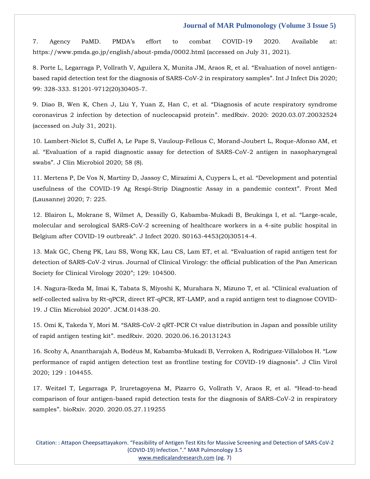7. [Agency PaMD. PMDA's effort to combat COVID](7.%20Agency%20PaMD.%20PMDA’s%20effort%20to%20combat%20COVID-19%202020.%20Available%20at:%20https:/www.pmda.go.jp/english/about-pmda/0002.html%20(accessed%20on%20July%2031,%202021).)-19 2020. Available at: [https://www.pmda.go.jp/english/about-pmda/0002.html \(accessed on July 31, 2021\).](7.%20Agency%20PaMD.%20PMDA’s%20effort%20to%20combat%20COVID-19%202020.%20Available%20at:%20https:/www.pmda.go.jp/english/about-pmda/0002.html%20(accessed%20on%20July%2031,%202021).)

8. [Porte L, Legarraga P, Vollrath V, Aguilera X, Munita JM, Araos R, et al.](https://www.google.com/search?q=Evaluation+of+novel+antigen-based+rapid+detection+test+for+the+diagnosis+of+SARS-CoV-2+in+respiratory+samples&rlz=1C1ONGR_enIN971&oq=Evaluation+of+novel+antigen-based+rapid+detection+test+for+the+diagnosis+of+SARS-CoV-2+in+respiratory+samples&aqs=chrome..69i57.383j0j7&sourceid=chrome&ie=UTF-8) "Evaluation of novel antigen[based rapid detection test for the diagnosis of SARS-CoV-2 in respiratory samples](https://www.google.com/search?q=Evaluation+of+novel+antigen-based+rapid+detection+test+for+the+diagnosis+of+SARS-CoV-2+in+respiratory+samples&rlz=1C1ONGR_enIN971&oq=Evaluation+of+novel+antigen-based+rapid+detection+test+for+the+diagnosis+of+SARS-CoV-2+in+respiratory+samples&aqs=chrome..69i57.383j0j7&sourceid=chrome&ie=UTF-8)". Int J Infect Dis 2020; 99: [328-333. S1201-9712\(20\)30405-7.](https://www.google.com/search?q=Evaluation+of+novel+antigen-based+rapid+detection+test+for+the+diagnosis+of+SARS-CoV-2+in+respiratory+samples&rlz=1C1ONGR_enIN971&oq=Evaluation+of+novel+antigen-based+rapid+detection+test+for+the+diagnosis+of+SARS-CoV-2+in+respiratory+samples&aqs=chrome..69i57.383j0j7&sourceid=chrome&ie=UTF-8)

9. [Diao B, Wen K, Chen J, Liu Y, Yuan Z, Han C, et al.](https://www.google.com/search?q=Diagnosis+of+acute+respiratory+syndrome+coronavirus+2+infection+by+detection+of+nucleocapsid+protein&rlz=1C1ONGR_enIN971&sxsrf=AOaemvJ1PoMqHzd_DgwQpQcDAJs8lgzkjg%3A1631618857066&ei=KYdAYfubA5WE4-EP8oKYkAM&oq=Diagnosis+of+acute+respiratory+syndrome+coronavirus+2+infection+by+detection+of+nucleocapsid+protein&gs_lcp=Cgdnd3Mtd2l6EAMyBQgAEIAEOgcIIxDqAhAnSgQIQRgAUKWfAVilnwFg76EBaAFwAngAgAFoiAFokgEDMC4xmAEAoAEBoAECsAEKwAEB&sclient=gws-wiz&ved=0ahUKEwi71Ijzrf7yAhUVwjgGHXIBBjIQ4dUDCA4&uact=5) "Diagnosis of acute respiratory syndrome [coronavirus 2 infection by detection of nucleocapsid protein](https://www.google.com/search?q=Diagnosis+of+acute+respiratory+syndrome+coronavirus+2+infection+by+detection+of+nucleocapsid+protein&rlz=1C1ONGR_enIN971&sxsrf=AOaemvJ1PoMqHzd_DgwQpQcDAJs8lgzkjg%3A1631618857066&ei=KYdAYfubA5WE4-EP8oKYkAM&oq=Diagnosis+of+acute+respiratory+syndrome+coronavirus+2+infection+by+detection+of+nucleocapsid+protein&gs_lcp=Cgdnd3Mtd2l6EAMyBQgAEIAEOgcIIxDqAhAnSgQIQRgAUKWfAVilnwFg76EBaAFwAngAgAFoiAFokgEDMC4xmAEAoAEBoAECsAEKwAEB&sclient=gws-wiz&ved=0ahUKEwi71Ijzrf7yAhUVwjgGHXIBBjIQ4dUDCA4&uact=5)". medRxiv. 2020: 2020.03.07.20032524 [\(accessed on July 31, 2021\).](https://www.google.com/search?q=Diagnosis+of+acute+respiratory+syndrome+coronavirus+2+infection+by+detection+of+nucleocapsid+protein&rlz=1C1ONGR_enIN971&sxsrf=AOaemvJ1PoMqHzd_DgwQpQcDAJs8lgzkjg%3A1631618857066&ei=KYdAYfubA5WE4-EP8oKYkAM&oq=Diagnosis+of+acute+respiratory+syndrome+coronavirus+2+infection+by+detection+of+nucleocapsid+protein&gs_lcp=Cgdnd3Mtd2l6EAMyBQgAEIAEOgcIIxDqAhAnSgQIQRgAUKWfAVilnwFg76EBaAFwAngAgAFoiAFokgEDMC4xmAEAoAEBoAECsAEKwAEB&sclient=gws-wiz&ved=0ahUKEwi71Ijzrf7yAhUVwjgGHXIBBjIQ4dUDCA4&uact=5)

10. Lambert-Niclot S, Cuffel A, Le [Pape S, Vauloup-Fellous C, Morand-Joubert L, Roque-Afonso AM, et](https://www.google.com/search?q=Evaluation+of+a+rapid+diagnostic+assay+for+detection+of+SARS-CoV-2+antigen+in+nasopharyngeal+swabs&rlz=1C1ONGR_enIN971&sxsrf=AOaemvIycnFpl7oriNyteCDU6RXp8Gq6aw%3A1631618901556&ei=VYdAYcGcIa6e4-EPo9WOwAE&oq=Evaluation+of+a+rapid+diagnostic+assay+for+detection+of+SARS-CoV-2+antigen+in+nasopharyngeal+swabs&gs_lcp=Cgdnd3Mtd2l6EAMyBAgAEEcyBAgAEEc6BwgjEOoCECdKBAhBGABQxitYxitgmS9oAXADeACAAQCIAQCSAQCYAQCgAQGgAQKwAQrIAQLAAQE&sclient=gws-wiz&ved=0ahUKEwiBm6SIrv7yAhUuzzgGHaOqAxgQ4dUDCA4&uact=5)  al. "[Evaluation of a rapid diagnostic assay for detection of SARS-CoV-2 antigen in nasopharyngeal](https://www.google.com/search?q=Evaluation+of+a+rapid+diagnostic+assay+for+detection+of+SARS-CoV-2+antigen+in+nasopharyngeal+swabs&rlz=1C1ONGR_enIN971&sxsrf=AOaemvIycnFpl7oriNyteCDU6RXp8Gq6aw%3A1631618901556&ei=VYdAYcGcIa6e4-EPo9WOwAE&oq=Evaluation+of+a+rapid+diagnostic+assay+for+detection+of+SARS-CoV-2+antigen+in+nasopharyngeal+swabs&gs_lcp=Cgdnd3Mtd2l6EAMyBAgAEEcyBAgAEEc6BwgjEOoCECdKBAhBGABQxitYxitgmS9oAXADeACAAQCIAQCSAQCYAQCgAQGgAQKwAQrIAQLAAQE&sclient=gws-wiz&ved=0ahUKEwiBm6SIrv7yAhUuzzgGHaOqAxgQ4dUDCA4&uact=5)  swabs"[. J Clin Microbiol 2020; 58 \(8\).](https://www.google.com/search?q=Evaluation+of+a+rapid+diagnostic+assay+for+detection+of+SARS-CoV-2+antigen+in+nasopharyngeal+swabs&rlz=1C1ONGR_enIN971&sxsrf=AOaemvIycnFpl7oriNyteCDU6RXp8Gq6aw%3A1631618901556&ei=VYdAYcGcIa6e4-EPo9WOwAE&oq=Evaluation+of+a+rapid+diagnostic+assay+for+detection+of+SARS-CoV-2+antigen+in+nasopharyngeal+swabs&gs_lcp=Cgdnd3Mtd2l6EAMyBAgAEEcyBAgAEEc6BwgjEOoCECdKBAhBGABQxitYxitgmS9oAXADeACAAQCIAQCSAQCYAQCgAQGgAQKwAQrIAQLAAQE&sclient=gws-wiz&ved=0ahUKEwiBm6SIrv7yAhUuzzgGHaOqAxgQ4dUDCA4&uact=5) 

11. [Mertens P, De Vos N, Martiny D, Jassoy C, Mirazimi A, Cuypers L, et al.](https://www.google.com/search?q=Development+and+potential+usefulness+of+the+COVID-19+Ag+Respi-Strip+Diagnostic+Assay+in+a+pandemic+context&rlz=1C1ONGR_enIN971&sxsrf=AOaemvIycnFpl7oriNyteCDU6RXp8Gq6aw%3A1631618901556&ei=VYdAYcGcIa6e4-EPo9WOwAE&oq=Development+and+potential+usefulness+of+the+COVID-19+Ag+Respi-Strip+Diagnostic+Assay+in+a+pandemic+context&gs_lcp=Cgdnd3Mtd2l6EAMyBwgjEOoCECcyBwgjEOoCECcyBwgjEOoCECcyBwgjEOoCECcyBwgjEOoCECcyBwgjEOoCECcyBwgjEOoCECcyBwgjEOoCECcyBwgjEOoCECcyBwgjEOoCECdKBAhBGABQ6vwGWOr8BmCS_wZoAXACeACAAQCIAQCSAQCYAQCgAQGgAQKwAQrAAQE&sclient=gws-wiz&ved=0ahUKEwiBm6SIrv7yAhUuzzgGHaOqAxgQ4dUDCA4&uact=5) "Development and potential [usefulness of the COVID-19 Ag Respi-Strip Diagnostic Assay in a pandemic context](https://www.google.com/search?q=Development+and+potential+usefulness+of+the+COVID-19+Ag+Respi-Strip+Diagnostic+Assay+in+a+pandemic+context&rlz=1C1ONGR_enIN971&sxsrf=AOaemvIycnFpl7oriNyteCDU6RXp8Gq6aw%3A1631618901556&ei=VYdAYcGcIa6e4-EPo9WOwAE&oq=Development+and+potential+usefulness+of+the+COVID-19+Ag+Respi-Strip+Diagnostic+Assay+in+a+pandemic+context&gs_lcp=Cgdnd3Mtd2l6EAMyBwgjEOoCECcyBwgjEOoCECcyBwgjEOoCECcyBwgjEOoCECcyBwgjEOoCECcyBwgjEOoCECcyBwgjEOoCECcyBwgjEOoCECcyBwgjEOoCECcyBwgjEOoCECdKBAhBGABQ6vwGWOr8BmCS_wZoAXACeACAAQCIAQCSAQCYAQCgAQGgAQKwAQrAAQE&sclient=gws-wiz&ved=0ahUKEwiBm6SIrv7yAhUuzzgGHaOqAxgQ4dUDCA4&uact=5)". Front Med [\(Lausanne\) 2020; 7:](https://www.google.com/search?q=Development+and+potential+usefulness+of+the+COVID-19+Ag+Respi-Strip+Diagnostic+Assay+in+a+pandemic+context&rlz=1C1ONGR_enIN971&sxsrf=AOaemvIycnFpl7oriNyteCDU6RXp8Gq6aw%3A1631618901556&ei=VYdAYcGcIa6e4-EPo9WOwAE&oq=Development+and+potential+usefulness+of+the+COVID-19+Ag+Respi-Strip+Diagnostic+Assay+in+a+pandemic+context&gs_lcp=Cgdnd3Mtd2l6EAMyBwgjEOoCECcyBwgjEOoCECcyBwgjEOoCECcyBwgjEOoCECcyBwgjEOoCECcyBwgjEOoCECcyBwgjEOoCECcyBwgjEOoCECcyBwgjEOoCECcyBwgjEOoCECdKBAhBGABQ6vwGWOr8BmCS_wZoAXACeACAAQCIAQCSAQCYAQCgAQGgAQKwAQrAAQE&sclient=gws-wiz&ved=0ahUKEwiBm6SIrv7yAhUuzzgGHaOqAxgQ4dUDCA4&uact=5) 225.

12. [Blairon L, Mokrane S, Wilmet A, Dessilly G, Kabamba-Mukadi B, Beukinga I, et al.](https://www.google.com/search?q=Large-scale%2C+molecular+and+serological+SARS-CoV-2+screening+of+healthcare+workers+in+a+4-site+public+hospital+in+Belgium+after+COVID-19+outbreak&rlz=1C1ONGR_enIN971&sxsrf=AOaemvK2maeQ8fDHKJqosDSsG0oaLy_Qsw%3A1631619058210&ei=8odAYeOnDIGD4-EPyf-vkA8&oq=Large-scale%2C+molecular+and+serological+SARS-CoV-2+screening+of+healthcare+workers+in+a+4-site+public+hospital+in+Belgium+after+COVID-19+outbreak&gs_lcp=Cgdnd3Mtd2l6EAMyBwgjEOoCECcyBwgjEOoCECcyBwgjEOoCECcyBwgjEOoCECcyBwgjEOoCECcyBwgjEOoCECcyBwgjEOoCECcyBwgjEOoCECcyBwgjEOoCECcyBwgjEOoCECdKBAhBGABQvLoBWLy6AWD-vAFoAXAAeACAAQCIAQCSAQCYAQCgAQGgAQKwAQrAAQE&sclient=gws-wiz&ved=0ahUKEwjj6P3Srv7yAhWBwTgGHcn_C_IQ4dUDCA4&uact=5) "Large-scale, [molecular and serological SARS-CoV-2 screening of healthcare workers in a 4-site public hospital in](https://www.google.com/search?q=Large-scale%2C+molecular+and+serological+SARS-CoV-2+screening+of+healthcare+workers+in+a+4-site+public+hospital+in+Belgium+after+COVID-19+outbreak&rlz=1C1ONGR_enIN971&sxsrf=AOaemvK2maeQ8fDHKJqosDSsG0oaLy_Qsw%3A1631619058210&ei=8odAYeOnDIGD4-EPyf-vkA8&oq=Large-scale%2C+molecular+and+serological+SARS-CoV-2+screening+of+healthcare+workers+in+a+4-site+public+hospital+in+Belgium+after+COVID-19+outbreak&gs_lcp=Cgdnd3Mtd2l6EAMyBwgjEOoCECcyBwgjEOoCECcyBwgjEOoCECcyBwgjEOoCECcyBwgjEOoCECcyBwgjEOoCECcyBwgjEOoCECcyBwgjEOoCECcyBwgjEOoCECcyBwgjEOoCECdKBAhBGABQvLoBWLy6AWD-vAFoAXAAeACAAQCIAQCSAQCYAQCgAQGgAQKwAQrAAQE&sclient=gws-wiz&ved=0ahUKEwjj6P3Srv7yAhWBwTgGHcn_C_IQ4dUDCA4&uact=5)  Belgium after COVID-19 outbreak"[. J Infect 2020. S0163-4453\(20\)30514-4.](https://www.google.com/search?q=Large-scale%2C+molecular+and+serological+SARS-CoV-2+screening+of+healthcare+workers+in+a+4-site+public+hospital+in+Belgium+after+COVID-19+outbreak&rlz=1C1ONGR_enIN971&sxsrf=AOaemvK2maeQ8fDHKJqosDSsG0oaLy_Qsw%3A1631619058210&ei=8odAYeOnDIGD4-EPyf-vkA8&oq=Large-scale%2C+molecular+and+serological+SARS-CoV-2+screening+of+healthcare+workers+in+a+4-site+public+hospital+in+Belgium+after+COVID-19+outbreak&gs_lcp=Cgdnd3Mtd2l6EAMyBwgjEOoCECcyBwgjEOoCECcyBwgjEOoCECcyBwgjEOoCECcyBwgjEOoCECcyBwgjEOoCECcyBwgjEOoCECcyBwgjEOoCECcyBwgjEOoCECcyBwgjEOoCECdKBAhBGABQvLoBWLy6AWD-vAFoAXAAeACAAQCIAQCSAQCYAQCgAQGgAQKwAQrAAQE&sclient=gws-wiz&ved=0ahUKEwjj6P3Srv7yAhWBwTgGHcn_C_IQ4dUDCA4&uact=5)

13. [Mak GC, Cheng PK, Lau SS, Wong KK, Lau CS, Lam ET, et al.](https://www.google.com/search?q=Evaluation+of+rapid+antigen+test+for+detection+of+SARS-CoV-2+virus.+Journal+of+Clinical+Virology%3A+the+official+publication+of+the+Pan+American+Society+for+Clinical+Virology+2020&rlz=1C1ONGR_enIN971&sxsrf=AOaemvKSEM0_tLYkVkApyP8bNom8FgczXw%3A1631619083636&ei=C4hAYYSQJpaW4-EP79KH8A8&oq=Evaluation+of+rapid+antigen+test+for+detection+of+SARS-CoV-2+virus.+Journal+of+Clinical+Virology%3A+the+official+publication+of+the+Pan+American+Society+for+Clinical+Virology+2020&gs_lcp=Cgdnd3Mtd2l6EAMyBwgjEOoCECcyBwgjEOoCECcyBwgjEOoCECcyBwgjEOoCECcyBwgjEOoCECcyBwgjEOoCECcyBwgjEOoCECcyBwgjEOoCECcyBwgjEOoCECcyBwgjEOoCECdKBAhBGABQ59YJWOfWCWD42QloAXAAeACAAQCIAQCSAQCYAQCgAQGgAQKwAQrAAQE&sclient=gws-wiz&ved=0ahUKEwjEwY3frv7yAhUWyzgGHW_pAf4Q4dUDCA4&uact=5) "Evaluation of rapid antigen test for [detection of SARS-CoV-2 virus. Journal of Clinical Virology:](https://www.google.com/search?q=Evaluation+of+rapid+antigen+test+for+detection+of+SARS-CoV-2+virus.+Journal+of+Clinical+Virology%3A+the+official+publication+of+the+Pan+American+Society+for+Clinical+Virology+2020&rlz=1C1ONGR_enIN971&sxsrf=AOaemvKSEM0_tLYkVkApyP8bNom8FgczXw%3A1631619083636&ei=C4hAYYSQJpaW4-EP79KH8A8&oq=Evaluation+of+rapid+antigen+test+for+detection+of+SARS-CoV-2+virus.+Journal+of+Clinical+Virology%3A+the+official+publication+of+the+Pan+American+Society+for+Clinical+Virology+2020&gs_lcp=Cgdnd3Mtd2l6EAMyBwgjEOoCECcyBwgjEOoCECcyBwgjEOoCECcyBwgjEOoCECcyBwgjEOoCECcyBwgjEOoCECcyBwgjEOoCECcyBwgjEOoCECcyBwgjEOoCECcyBwgjEOoCECdKBAhBGABQ59YJWOfWCWD42QloAXAAeACAAQCIAQCSAQCYAQCgAQGgAQKwAQrAAQE&sclient=gws-wiz&ved=0ahUKEwjEwY3frv7yAhUWyzgGHW_pAf4Q4dUDCA4&uact=5) the official publication of the Pan American [Society for Clinical Virology 2020](https://www.google.com/search?q=Evaluation+of+rapid+antigen+test+for+detection+of+SARS-CoV-2+virus.+Journal+of+Clinical+Virology%3A+the+official+publication+of+the+Pan+American+Society+for+Clinical+Virology+2020&rlz=1C1ONGR_enIN971&sxsrf=AOaemvKSEM0_tLYkVkApyP8bNom8FgczXw%3A1631619083636&ei=C4hAYYSQJpaW4-EP79KH8A8&oq=Evaluation+of+rapid+antigen+test+for+detection+of+SARS-CoV-2+virus.+Journal+of+Clinical+Virology%3A+the+official+publication+of+the+Pan+American+Society+for+Clinical+Virology+2020&gs_lcp=Cgdnd3Mtd2l6EAMyBwgjEOoCECcyBwgjEOoCECcyBwgjEOoCECcyBwgjEOoCECcyBwgjEOoCECcyBwgjEOoCECcyBwgjEOoCECcyBwgjEOoCECcyBwgjEOoCECcyBwgjEOoCECdKBAhBGABQ59YJWOfWCWD42QloAXAAeACAAQCIAQCSAQCYAQCgAQGgAQKwAQrAAQE&sclient=gws-wiz&ved=0ahUKEwjEwY3frv7yAhUWyzgGHW_pAf4Q4dUDCA4&uact=5)"; 129: 104500.

14. [Nagura-Ikeda M, Imai K, Tabata S, Miyoshi K, Murahara N, Mizuno T, et al.](https://www.google.com/search?q=Clinical+evaluation+of+self-collected+saliva+by+Rt-qPCR%2C+direct+RT-qPCR%2C+RT-LAMP%2C+and+a+rapid+antigen+test+to+diagnose+COVID-19.+J+Clin+Microbiol+2020&rlz=1C1ONGR_enIN971&sxsrf=AOaemvLJ87qs_e5cI_LR7iNNbOpXGFaLlw%3A1631619244201&ei=rIhAYaHDC_qZ4-EPuMifuAs&oq=Clinical+evaluation+of+self-collected+saliva+by+Rt-qPCR%2C+direct+RT-qPCR%2C+RT-LAMP%2C+and+a+rapid+antigen+test+to+diagnose+COVID-19.+J+Clin+Microbiol+2020&gs_lcp=Cgdnd3Mtd2l6EAMyBwgjEOoCECcyBwgjEOoCECcyBwgjEOoCECcyBwgjEOoCECcyBwgjEOoCECcyBwgjEOoCECcyBwgjEOoCECcyBwgjEOoCECcyBwgjEOoCECcyBwgjEOoCECdKBAhBGABQneoDWJ3qA2C_7QNoAXACeACAAQCIAQCSAQCYAQCgAQGgAQKwAQrAAQE&sclient=gws-wiz&ved=0ahUKEwihydWrr_7yAhX6zDgGHTjkB7cQ4dUDCA4&uact=5) "Clinical evaluation of [self-collected saliva by Rt-qPCR, direct RT-qPCR, RT-LAMP, and a rapid antigen test to diagnose COVID-](https://www.google.com/search?q=Clinical+evaluation+of+self-collected+saliva+by+Rt-qPCR%2C+direct+RT-qPCR%2C+RT-LAMP%2C+and+a+rapid+antigen+test+to+diagnose+COVID-19.+J+Clin+Microbiol+2020&rlz=1C1ONGR_enIN971&sxsrf=AOaemvLJ87qs_e5cI_LR7iNNbOpXGFaLlw%3A1631619244201&ei=rIhAYaHDC_qZ4-EPuMifuAs&oq=Clinical+evaluation+of+self-collected+saliva+by+Rt-qPCR%2C+direct+RT-qPCR%2C+RT-LAMP%2C+and+a+rapid+antigen+test+to+diagnose+COVID-19.+J+Clin+Microbiol+2020&gs_lcp=Cgdnd3Mtd2l6EAMyBwgjEOoCECcyBwgjEOoCECcyBwgjEOoCECcyBwgjEOoCECcyBwgjEOoCECcyBwgjEOoCECcyBwgjEOoCECcyBwgjEOoCECcyBwgjEOoCECcyBwgjEOoCECdKBAhBGABQneoDWJ3qA2C_7QNoAXACeACAAQCIAQCSAQCYAQCgAQGgAQKwAQrAAQE&sclient=gws-wiz&ved=0ahUKEwihydWrr_7yAhX6zDgGHTjkB7cQ4dUDCA4&uact=5)[19. J Clin Microbiol 2020](https://www.google.com/search?q=Clinical+evaluation+of+self-collected+saliva+by+Rt-qPCR%2C+direct+RT-qPCR%2C+RT-LAMP%2C+and+a+rapid+antigen+test+to+diagnose+COVID-19.+J+Clin+Microbiol+2020&rlz=1C1ONGR_enIN971&sxsrf=AOaemvLJ87qs_e5cI_LR7iNNbOpXGFaLlw%3A1631619244201&ei=rIhAYaHDC_qZ4-EPuMifuAs&oq=Clinical+evaluation+of+self-collected+saliva+by+Rt-qPCR%2C+direct+RT-qPCR%2C+RT-LAMP%2C+and+a+rapid+antigen+test+to+diagnose+COVID-19.+J+Clin+Microbiol+2020&gs_lcp=Cgdnd3Mtd2l6EAMyBwgjEOoCECcyBwgjEOoCECcyBwgjEOoCECcyBwgjEOoCECcyBwgjEOoCECcyBwgjEOoCECcyBwgjEOoCECcyBwgjEOoCECcyBwgjEOoCECcyBwgjEOoCECdKBAhBGABQneoDWJ3qA2C_7QNoAXACeACAAQCIAQCSAQCYAQCgAQGgAQKwAQrAAQE&sclient=gws-wiz&ved=0ahUKEwihydWrr_7yAhX6zDgGHTjkB7cQ4dUDCA4&uact=5)". JCM.01438-20.

15. Omi K, Takeda Y, Mori M. "[SARS-CoV-2 qRT-PCR Ct value distribution in Japan and possible utility](https://www.google.com/search?q=SARS-CoV-2+qRT-PCR+Ct+value+distribution+in+Japan+and+possible+utility+of+rapid+antigen+testing+kit&rlz=1C1ONGR_enIN971&sxsrf=AOaemvKjYCX3UN6_2-srLIHxxa3sDr8Eig%3A1631619308656&ei=7IhAYZqsJ5ie4-EPwd-nkA0&oq=SARS-CoV-2+qRT-PCR+Ct+value+distribution+in+Japan+and+possible+utility+of+rapid+antigen+testing+kit&gs_lcp=Cgdnd3Mtd2l6EAM6BwgjEOoCECdKBAhBGABQmo0BWJqNAWCUkAFoAXACeACAAW2IAW2SAQMwLjGYAQCgAQGgAQKwAQrAAQE&sclient=gws-wiz&ved=0ahUKEwia0rPKr_7yAhUYzzgGHcHvCdIQ4dUDCA4&uact=5)  of rapid antigen testing kit"[. medRxiv. 2020. 2020.06.16.20131243](https://www.google.com/search?q=SARS-CoV-2+qRT-PCR+Ct+value+distribution+in+Japan+and+possible+utility+of+rapid+antigen+testing+kit&rlz=1C1ONGR_enIN971&sxsrf=AOaemvKjYCX3UN6_2-srLIHxxa3sDr8Eig%3A1631619308656&ei=7IhAYZqsJ5ie4-EPwd-nkA0&oq=SARS-CoV-2+qRT-PCR+Ct+value+distribution+in+Japan+and+possible+utility+of+rapid+antigen+testing+kit&gs_lcp=Cgdnd3Mtd2l6EAM6BwgjEOoCECdKBAhBGABQmo0BWJqNAWCUkAFoAXACeACAAW2IAW2SAQMwLjGYAQCgAQGgAQKwAQrAAQE&sclient=gws-wiz&ved=0ahUKEwia0rPKr_7yAhUYzzgGHcHvCdIQ4dUDCA4&uact=5)

16. Scohy A, Anantharajah A, Bodé[us M, Kabamba-Mukadi B, Verroken A, Rodriguez-Villalobos H.](https://www.google.com/search?q=Low+performance+of+rapid+antigen+detection+test+as+frontline+testing+for+COVID-19+diagnosis&rlz=1C1ONGR_enIN971&sxsrf=AOaemvLYomLo13LacFS-5RkJevRbCHL63g%3A1631619328249&ei=AIlAYejdDp2e4-EP6t-UkAc&oq=Low+performance+of+rapid+antigen+detection+test+as+frontline+testing+for+COVID-19+diagnosis&gs_lcp=Cgdnd3Mtd2l6EAMyBQgAEIAEOgcIIxDqAhAnSgQIQRgAUI6dAViOnQFg0p8BaAFwAngAgAFwiAFwkgEDMC4xmAEAoAEBoAECsAEKwAEB&sclient=gws-wiz&ved=0ahUKEwjo3d_Tr_7yAhUdzzgGHeovBXIQ4dUDCA4&uact=5) "Low [performance of rapid antigen detection test as frontline testing for COVID-19](https://www.google.com/search?q=Low+performance+of+rapid+antigen+detection+test+as+frontline+testing+for+COVID-19+diagnosis&rlz=1C1ONGR_enIN971&sxsrf=AOaemvLYomLo13LacFS-5RkJevRbCHL63g%3A1631619328249&ei=AIlAYejdDp2e4-EP6t-UkAc&oq=Low+performance+of+rapid+antigen+detection+test+as+frontline+testing+for+COVID-19+diagnosis&gs_lcp=Cgdnd3Mtd2l6EAMyBQgAEIAEOgcIIxDqAhAnSgQIQRgAUI6dAViOnQFg0p8BaAFwAngAgAFwiAFwkgEDMC4xmAEAoAEBoAECsAEKwAEB&sclient=gws-wiz&ved=0ahUKEwjo3d_Tr_7yAhUdzzgGHeovBXIQ4dUDCA4&uact=5) diagnosis". J Clin Virol [2020; 129 : 104455.](https://www.google.com/search?q=Low+performance+of+rapid+antigen+detection+test+as+frontline+testing+for+COVID-19+diagnosis&rlz=1C1ONGR_enIN971&sxsrf=AOaemvLYomLo13LacFS-5RkJevRbCHL63g%3A1631619328249&ei=AIlAYejdDp2e4-EP6t-UkAc&oq=Low+performance+of+rapid+antigen+detection+test+as+frontline+testing+for+COVID-19+diagnosis&gs_lcp=Cgdnd3Mtd2l6EAMyBQgAEIAEOgcIIxDqAhAnSgQIQRgAUI6dAViOnQFg0p8BaAFwAngAgAFwiAFwkgEDMC4xmAEAoAEBoAECsAEKwAEB&sclient=gws-wiz&ved=0ahUKEwjo3d_Tr_7yAhUdzzgGHeovBXIQ4dUDCA4&uact=5) 

17. [Weitzel T, Legarraga P, Iruretagoyena M, Pizarro G, Vollrath V, Araos R, et al.](https://www.google.com/search?q=Low+performance+of+rapid+antigen+detection+test+as+frontline+testing+for+COVID-19+diagnosis&rlz=1C1ONGR_enIN971&sxsrf=AOaemvLYomLo13LacFS-5RkJevRbCHL63g%3A1631619328249&ei=AIlAYejdDp2e4-EP6t-UkAc&oq=Low+performance+of+rapid+antigen+detection+test+as+frontline+testing+for+COVID-19+diagnosis&gs_lcp=Cgdnd3Mtd2l6EAMyBQgAEIAEOgcIIxDqAhAnSgQIQRgAUI6dAViOnQFg0p8BaAFwAngAgAFwiAFwkgEDMC4xmAEAoAEBoAECsAEKwAEB&sclient=gws-wiz&ved=0ahUKEwjo3d_Tr_7yAhUdzzgGHeovBXIQ4dUDCA4&uact=5) "Head-to-head [comparison of four antigen-based rapid detection tests for the diagnosis of SARS-CoV-2 in respiratory](https://www.google.com/search?q=Low+performance+of+rapid+antigen+detection+test+as+frontline+testing+for+COVID-19+diagnosis&rlz=1C1ONGR_enIN971&sxsrf=AOaemvLYomLo13LacFS-5RkJevRbCHL63g%3A1631619328249&ei=AIlAYejdDp2e4-EP6t-UkAc&oq=Low+performance+of+rapid+antigen+detection+test+as+frontline+testing+for+COVID-19+diagnosis&gs_lcp=Cgdnd3Mtd2l6EAMyBQgAEIAEOgcIIxDqAhAnSgQIQRgAUI6dAViOnQFg0p8BaAFwAngAgAFwiAFwkgEDMC4xmAEAoAEBoAECsAEKwAEB&sclient=gws-wiz&ved=0ahUKEwjo3d_Tr_7yAhUdzzgGHeovBXIQ4dUDCA4&uact=5)  samples"[. bioRxiv. 2020. 2020.05.27.119255](https://www.google.com/search?q=Low+performance+of+rapid+antigen+detection+test+as+frontline+testing+for+COVID-19+diagnosis&rlz=1C1ONGR_enIN971&sxsrf=AOaemvLYomLo13LacFS-5RkJevRbCHL63g%3A1631619328249&ei=AIlAYejdDp2e4-EP6t-UkAc&oq=Low+performance+of+rapid+antigen+detection+test+as+frontline+testing+for+COVID-19+diagnosis&gs_lcp=Cgdnd3Mtd2l6EAMyBQgAEIAEOgcIIxDqAhAnSgQIQRgAUI6dAViOnQFg0p8BaAFwAngAgAFwiAFwkgEDMC4xmAEAoAEBoAECsAEKwAEB&sclient=gws-wiz&ved=0ahUKEwjo3d_Tr_7yAhUdzzgGHeovBXIQ4dUDCA4&uact=5)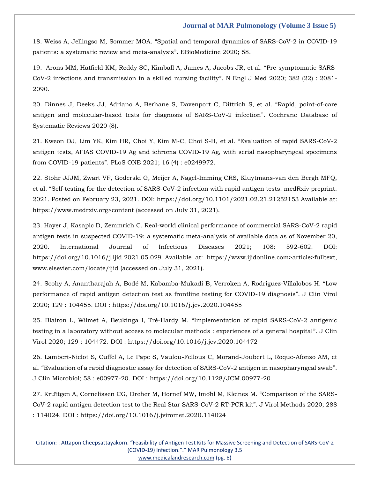18. Weiss A, Jellingso M, Sommer MOA. "[Spatial and temporal dynamics of SARS-CoV-2 in COVID-19](https://www.google.com/search?q=Spatial+and+temporal+dynamics+of+SARS-CoV-2+in+COVID-19+patients%3A+a+systematic+review+and+meta-analysis&rlz=1C1ONGR_enIN971&sxsrf=AOaemvKBElQNncsLP_d38yj-y1VZVBeVgA%3A1631619350030&ei=FolAYbCBAYie4-EPnbGTsAw&oq=Spatial+and+temporal+dynamics+of+SARS-CoV-2+in+COVID-19+patients%3A+a+systematic+review+and+meta-analysis&gs_lcp=Cgdnd3Mtd2l6EAMyBwgjEOoCECcyBwgjEOoCECcyBwgjEOoCECcyBwgjEOoCECcyBwgjEOoCECcyBwgjEOoCECcyBwgjEOoCECcyBwgjEOoCECcyBwgjEOoCECcyBwgjEOoCECdKBAhBGABQqvwCWKr8AmCM_wJoAXACeACAAQCIAQCSAQCYAQCgAQGgAQKwAQrAAQE&sclient=gws-wiz&ved=0ahUKEwiw5JDer_7yAhUIzzgGHZ3YBMYQ4dUDCA4&uact=5)  patients: [a systematic review and meta-analysis](https://www.google.com/search?q=Spatial+and+temporal+dynamics+of+SARS-CoV-2+in+COVID-19+patients%3A+a+systematic+review+and+meta-analysis&rlz=1C1ONGR_enIN971&sxsrf=AOaemvKBElQNncsLP_d38yj-y1VZVBeVgA%3A1631619350030&ei=FolAYbCBAYie4-EPnbGTsAw&oq=Spatial+and+temporal+dynamics+of+SARS-CoV-2+in+COVID-19+patients%3A+a+systematic+review+and+meta-analysis&gs_lcp=Cgdnd3Mtd2l6EAMyBwgjEOoCECcyBwgjEOoCECcyBwgjEOoCECcyBwgjEOoCECcyBwgjEOoCECcyBwgjEOoCECcyBwgjEOoCECcyBwgjEOoCECcyBwgjEOoCECcyBwgjEOoCECdKBAhBGABQqvwCWKr8AmCM_wJoAXACeACAAQCIAQCSAQCYAQCgAQGgAQKwAQrAAQE&sclient=gws-wiz&ved=0ahUKEwiw5JDer_7yAhUIzzgGHZ3YBMYQ4dUDCA4&uact=5)". EBioMedicine 2020; 58.

19. [Arons MM, Hatfield KM, Reddy SC, Kimball A, James A, Jacobs JR, et al.](https://www.google.com/search?q=Pre-symptomatic+SARS-CoV-2+infections+and+transmission+in+a+skilled+nursing+facility&rlz=1C1ONGR_enIN971&sxsrf=AOaemvIAgBfZ3sMrwZk34YPF4YAQwrmlug%3A1631619458734&ei=golAYduKLLaL4-EP3MODgAU&oq=Pre-symptomatic+SARS-CoV-2+infections+and+transmission+in+a+skilled+nursing+facility&gs_lcp=Cgdnd3Mtd2l6EAMyBAgAEEcyBAgAEEcyBAgAEEcyBAgAEEcyBAgAEEcyBAgAEEcyBAgAEEcyBAgAEEc6BwgjEOoCECdKBAhBGABQuCxYuCxgky9oAXADeACAAQCIAQCSAQCYAQCgAQGgAQKwAQrIAQjAAQE&sclient=gws-wiz&ved=0ahUKEwjb0_uRsP7yAhW2xTgGHdzhAFAQ4dUDCA4&uact=5) "Pre-symptomatic SARS-[CoV-2 infections and transmission in a skilled nursing facility](https://www.google.com/search?q=Pre-symptomatic+SARS-CoV-2+infections+and+transmission+in+a+skilled+nursing+facility&rlz=1C1ONGR_enIN971&sxsrf=AOaemvIAgBfZ3sMrwZk34YPF4YAQwrmlug%3A1631619458734&ei=golAYduKLLaL4-EP3MODgAU&oq=Pre-symptomatic+SARS-CoV-2+infections+and+transmission+in+a+skilled+nursing+facility&gs_lcp=Cgdnd3Mtd2l6EAMyBAgAEEcyBAgAEEcyBAgAEEcyBAgAEEcyBAgAEEcyBAgAEEcyBAgAEEcyBAgAEEc6BwgjEOoCECdKBAhBGABQuCxYuCxgky9oAXADeACAAQCIAQCSAQCYAQCgAQGgAQKwAQrIAQjAAQE&sclient=gws-wiz&ved=0ahUKEwjb0_uRsP7yAhW2xTgGHdzhAFAQ4dUDCA4&uact=5)". N Engl J Med 2020; 382 (22) : 2081- [2090.](https://www.google.com/search?q=Pre-symptomatic+SARS-CoV-2+infections+and+transmission+in+a+skilled+nursing+facility&rlz=1C1ONGR_enIN971&sxsrf=AOaemvIAgBfZ3sMrwZk34YPF4YAQwrmlug%3A1631619458734&ei=golAYduKLLaL4-EP3MODgAU&oq=Pre-symptomatic+SARS-CoV-2+infections+and+transmission+in+a+skilled+nursing+facility&gs_lcp=Cgdnd3Mtd2l6EAMyBAgAEEcyBAgAEEcyBAgAEEcyBAgAEEcyBAgAEEcyBAgAEEcyBAgAEEcyBAgAEEc6BwgjEOoCECdKBAhBGABQuCxYuCxgky9oAXADeACAAQCIAQCSAQCYAQCgAQGgAQKwAQrIAQjAAQE&sclient=gws-wiz&ved=0ahUKEwjb0_uRsP7yAhW2xTgGHdzhAFAQ4dUDCA4&uact=5)

20. [Dinnes J, Deeks JJ, Adriano A, Berhane S, Davenport C, Dittrich S, et al.](https://www.google.com/search?q=Rapid%2C+point-of-care+antigen+and+molecular-based+tests+for+diagnosis+of+SARS-CoV-2+infection&rlz=1C1ONGR_enIN971&sxsrf=AOaemvIAgBfZ3sMrwZk34YPF4YAQwrmlug%3A1631619458734&ei=golAYduKLLaL4-EP3MODgAU&oq=Rapid%2C+point-of-care+antigen+and+molecular-based+tests+for+diagnosis+of+SARS-CoV-2+infection&gs_lcp=Cgdnd3Mtd2l6EAMyBQgAEIAEMgoIABCABBCHAhAUOgcIIxDqAhAnSgQIQRgAUM7EAljOxAJgoccCaAFwAngAgAFliAFlkgEDMC4xmAEAoAEBoAECsAEKwAEB&sclient=gws-wiz&ved=0ahUKEwjb0_uRsP7yAhW2xTgGHdzhAFAQ4dUDCA4&uact=5) "Rapid, point-of-care [antigen and molecular-based tests for diagnosis of SARS-CoV-2 infection](https://www.google.com/search?q=Rapid%2C+point-of-care+antigen+and+molecular-based+tests+for+diagnosis+of+SARS-CoV-2+infection&rlz=1C1ONGR_enIN971&sxsrf=AOaemvIAgBfZ3sMrwZk34YPF4YAQwrmlug%3A1631619458734&ei=golAYduKLLaL4-EP3MODgAU&oq=Rapid%2C+point-of-care+antigen+and+molecular-based+tests+for+diagnosis+of+SARS-CoV-2+infection&gs_lcp=Cgdnd3Mtd2l6EAMyBQgAEIAEMgoIABCABBCHAhAUOgcIIxDqAhAnSgQIQRgAUM7EAljOxAJgoccCaAFwAngAgAFliAFlkgEDMC4xmAEAoAEBoAECsAEKwAEB&sclient=gws-wiz&ved=0ahUKEwjb0_uRsP7yAhW2xTgGHdzhAFAQ4dUDCA4&uact=5)". Cochrane Database of [Systematic Reviews 2020 \(8\).](https://www.google.com/search?q=Rapid%2C+point-of-care+antigen+and+molecular-based+tests+for+diagnosis+of+SARS-CoV-2+infection&rlz=1C1ONGR_enIN971&sxsrf=AOaemvIAgBfZ3sMrwZk34YPF4YAQwrmlug%3A1631619458734&ei=golAYduKLLaL4-EP3MODgAU&oq=Rapid%2C+point-of-care+antigen+and+molecular-based+tests+for+diagnosis+of+SARS-CoV-2+infection&gs_lcp=Cgdnd3Mtd2l6EAMyBQgAEIAEMgoIABCABBCHAhAUOgcIIxDqAhAnSgQIQRgAUM7EAljOxAJgoccCaAFwAngAgAFliAFlkgEDMC4xmAEAoAEBoAECsAEKwAEB&sclient=gws-wiz&ved=0ahUKEwjb0_uRsP7yAhW2xTgGHdzhAFAQ4dUDCA4&uact=5)

21. [Kweon OJ, Lim YK, Kim HR, Choi Y, Kim M-C, Choi S-H, et al.](https://www.google.com/search?q=Evaluation+of+rapid+SARS-CoV-2+antigen+tests%2C+AFIAS+COVID-19+Ag+and+ichroma+COVID-19+Ag%2C+with+serial+nasopharyngeal+specimens+from+COVID-19+patients&rlz=1C1ONGR_enIN971&sxsrf=AOaemvJExcHQSYLkvz9qrsPSYa4DMMrNFg%3A1631619508547&ei=tIlAYcTcIOuW4-EPupqZ-As&oq=Evaluation+of+rapid+SARS-CoV-2+antigen+tests%2C+AFIAS+COVID-19+Ag+and+ichroma+COVID-19+Ag%2C+with+serial+nasopharyngeal+specimens+from+COVID-19+patients&gs_lcp=Cgdnd3Mtd2l6EAMyBwgjEOoCECcyBwgjEOoCECcyBwgjEOoCECcyBwgjEOoCECcyBwgjEOoCECcyBwgjEOoCECcyBwgjEOoCECcyBwgjEOoCECcyBwgjEOoCECcyBwgjEOoCECdKBAhBGABQjbsEWI27BGDQvQRoAXACeACAAQCIAQCSAQCYAQCgAQGgAQKwAQrAAQE&sclient=gws-wiz&ved=0ahUKEwjEhtypsP7yAhVryzgGHTpNBr8Q4dUDCA4&uact=5) "Evaluation of rapid SARS-CoV-2 [antigen tests, AFIAS COVID-19 Ag and ichroma COVID-19 Ag, with serial nasopharyngeal specimens](https://www.google.com/search?q=Evaluation+of+rapid+SARS-CoV-2+antigen+tests%2C+AFIAS+COVID-19+Ag+and+ichroma+COVID-19+Ag%2C+with+serial+nasopharyngeal+specimens+from+COVID-19+patients&rlz=1C1ONGR_enIN971&sxsrf=AOaemvJExcHQSYLkvz9qrsPSYa4DMMrNFg%3A1631619508547&ei=tIlAYcTcIOuW4-EPupqZ-As&oq=Evaluation+of+rapid+SARS-CoV-2+antigen+tests%2C+AFIAS+COVID-19+Ag+and+ichroma+COVID-19+Ag%2C+with+serial+nasopharyngeal+specimens+from+COVID-19+patients&gs_lcp=Cgdnd3Mtd2l6EAMyBwgjEOoCECcyBwgjEOoCECcyBwgjEOoCECcyBwgjEOoCECcyBwgjEOoCECcyBwgjEOoCECcyBwgjEOoCECcyBwgjEOoCECcyBwgjEOoCECcyBwgjEOoCECdKBAhBGABQjbsEWI27BGDQvQRoAXACeACAAQCIAQCSAQCYAQCgAQGgAQKwAQrAAQE&sclient=gws-wiz&ved=0ahUKEwjEhtypsP7yAhVryzgGHTpNBr8Q4dUDCA4&uact=5)  from COVID-19 patients"[. PLoS ONE 2021; 16 \(4\) : e0249972.](https://www.google.com/search?q=Evaluation+of+rapid+SARS-CoV-2+antigen+tests%2C+AFIAS+COVID-19+Ag+and+ichroma+COVID-19+Ag%2C+with+serial+nasopharyngeal+specimens+from+COVID-19+patients&rlz=1C1ONGR_enIN971&sxsrf=AOaemvJExcHQSYLkvz9qrsPSYa4DMMrNFg%3A1631619508547&ei=tIlAYcTcIOuW4-EPupqZ-As&oq=Evaluation+of+rapid+SARS-CoV-2+antigen+tests%2C+AFIAS+COVID-19+Ag+and+ichroma+COVID-19+Ag%2C+with+serial+nasopharyngeal+specimens+from+COVID-19+patients&gs_lcp=Cgdnd3Mtd2l6EAMyBwgjEOoCECcyBwgjEOoCECcyBwgjEOoCECcyBwgjEOoCECcyBwgjEOoCECcyBwgjEOoCECcyBwgjEOoCECcyBwgjEOoCECcyBwgjEOoCECcyBwgjEOoCECdKBAhBGABQjbsEWI27BGDQvQRoAXACeACAAQCIAQCSAQCYAQCgAQGgAQKwAQrAAQE&sclient=gws-wiz&ved=0ahUKEwjEhtypsP7yAhVryzgGHTpNBr8Q4dUDCA4&uact=5) 

22. [Stohr JJJM, Zwart VF, Goderski G, Meijer A, Nagel-Imming CRS, Kluytmans-van den Bergh MFQ,](22.%20Stohr%20JJJM,%20Zwart%20VF,%20Goderski%20G,%20Meijer%20A,%20Nagel-Imming%20CRS,%20Kluytmans-van%20den%20Bergh%20MFQ,%20et%20al.%20“Self-testing%20for%20the%20detection%20of%20SARS-CoV-2%20infection%20with%20rapid%20antigen%20tests.%20medRxiv%20preprint.%202021.%20Posted%20on%20February%2023,%202021.%20DOI:%20https:/doi.org/10.1101/2021.02.21.21252153%20Available%20at:%20https:/www.medrxiv.org%3econtent%20(accessed%20on%20July%2031,%202021).)  et al. "[Self-testing for the detection of SARS-CoV-2 infection with rapid antigen tests. medRxiv preprint.](22.%20Stohr%20JJJM,%20Zwart%20VF,%20Goderski%20G,%20Meijer%20A,%20Nagel-Imming%20CRS,%20Kluytmans-van%20den%20Bergh%20MFQ,%20et%20al.%20“Self-testing%20for%20the%20detection%20of%20SARS-CoV-2%20infection%20with%20rapid%20antigen%20tests.%20medRxiv%20preprint.%202021.%20Posted%20on%20February%2023,%202021.%20DOI:%20https:/doi.org/10.1101/2021.02.21.21252153%20Available%20at:%20https:/www.medrxiv.org%3econtent%20(accessed%20on%20July%2031,%202021).)  2021. Posted on February 23, 2021. DOI: [https://doi.org/10.1101/2021.02.21.21252153 Available](22.%20Stohr%20JJJM,%20Zwart%20VF,%20Goderski%20G,%20Meijer%20A,%20Nagel-Imming%20CRS,%20Kluytmans-van%20den%20Bergh%20MFQ,%20et%20al.%20“Self-testing%20for%20the%20detection%20of%20SARS-CoV-2%20infection%20with%20rapid%20antigen%20tests.%20medRxiv%20preprint.%202021.%20Posted%20on%20February%2023,%202021.%20DOI:%20https:/doi.org/10.1101/2021.02.21.21252153%20Available%20at:%20https:/www.medrxiv.org%3econtent%20(accessed%20on%20July%2031,%202021).) at: [https://www.medrxiv.org>content \(accessed on July 31, 2021\).](22.%20Stohr%20JJJM,%20Zwart%20VF,%20Goderski%20G,%20Meijer%20A,%20Nagel-Imming%20CRS,%20Kluytmans-van%20den%20Bergh%20MFQ,%20et%20al.%20“Self-testing%20for%20the%20detection%20of%20SARS-CoV-2%20infection%20with%20rapid%20antigen%20tests.%20medRxiv%20preprint.%202021.%20Posted%20on%20February%2023,%202021.%20DOI:%20https:/doi.org/10.1101/2021.02.21.21252153%20Available%20at:%20https:/www.medrxiv.org%3econtent%20(accessed%20on%20July%2031,%202021).) 

23. [Hayer J, Kasapic D, Zemmrich C. Real-world clinical performance of commercial SARS-CoV-2 rapid](23.%20Hayer%20J,%20Kasapic%20D,%20Zemmrich%20C.%20Real-world%20clinical%20performance%20of%20commercial%20SARS-CoV-2%20rapid%20antigen%20tests%20in%20suspected%20COVID-19:%20a%20systematic%20meta-analysis%20of%20available%20data%20as%20of%20November%2020,%202020.%20International%20Journal%20of%20Infectious%20Diseases%202021;%20108:%20592-602.%20DOI:%20https:/doi.org/10.1016/j.ijid.2021.05.029%20Available%20at:%20https:/www.ijidonline.com%3earticle%3efulltext,%20www.elsevier.com/locate/ijid%20(accessed%20on%20July%2031,%202021).)  antigen tests in suspected COVID-19: [a systematic meta-analysis of available data as of November 20,](23.%20Hayer%20J,%20Kasapic%20D,%20Zemmrich%20C.%20Real-world%20clinical%20performance%20of%20commercial%20SARS-CoV-2%20rapid%20antigen%20tests%20in%20suspected%20COVID-19:%20a%20systematic%20meta-analysis%20of%20available%20data%20as%20of%20November%2020,%202020.%20International%20Journal%20of%20Infectious%20Diseases%202021;%20108:%20592-602.%20DOI:%20https:/doi.org/10.1016/j.ijid.2021.05.029%20Available%20at:%20https:/www.ijidonline.com%3earticle%3efulltext,%20www.elsevier.com/locate/ijid%20(accessed%20on%20July%2031,%202021).)  [2020. International Journal of Infectious Diseases 2021; 108:](23.%20Hayer%20J,%20Kasapic%20D,%20Zemmrich%20C.%20Real-world%20clinical%20performance%20of%20commercial%20SARS-CoV-2%20rapid%20antigen%20tests%20in%20suspected%20COVID-19:%20a%20systematic%20meta-analysis%20of%20available%20data%20as%20of%20November%2020,%202020.%20International%20Journal%20of%20Infectious%20Diseases%202021;%20108:%20592-602.%20DOI:%20https:/doi.org/10.1016/j.ijid.2021.05.029%20Available%20at:%20https:/www.ijidonline.com%3earticle%3efulltext,%20www.elsevier.com/locate/ijid%20(accessed%20on%20July%2031,%202021).) 592-602. DOI: [https://doi.org/10.1016/j.ijid.2021.05.029 Available](23.%20Hayer%20J,%20Kasapic%20D,%20Zemmrich%20C.%20Real-world%20clinical%20performance%20of%20commercial%20SARS-CoV-2%20rapid%20antigen%20tests%20in%20suspected%20COVID-19:%20a%20systematic%20meta-analysis%20of%20available%20data%20as%20of%20November%2020,%202020.%20International%20Journal%20of%20Infectious%20Diseases%202021;%20108:%20592-602.%20DOI:%20https:/doi.org/10.1016/j.ijid.2021.05.029%20Available%20at:%20https:/www.ijidonline.com%3earticle%3efulltext,%20www.elsevier.com/locate/ijid%20(accessed%20on%20July%2031,%202021).) at: https://www.ijidonline.com>article>fulltext, [www.elsevier.com/locate/ijid \(accessed on July 31, 2021\).](23.%20Hayer%20J,%20Kasapic%20D,%20Zemmrich%20C.%20Real-world%20clinical%20performance%20of%20commercial%20SARS-CoV-2%20rapid%20antigen%20tests%20in%20suspected%20COVID-19:%20a%20systematic%20meta-analysis%20of%20available%20data%20as%20of%20November%2020,%202020.%20International%20Journal%20of%20Infectious%20Diseases%202021;%20108:%20592-602.%20DOI:%20https:/doi.org/10.1016/j.ijid.2021.05.029%20Available%20at:%20https:/www.ijidonline.com%3earticle%3efulltext,%20www.elsevier.com/locate/ijid%20(accessed%20on%20July%2031,%202021).)

24. Scohy A, Anantharajah A, Bodé M, Kabamba-Mukadi [B, Verroken A, Rodriguez-Villalobos H.](24.%20Scohy%20A,%20Anantharajah%20A,%20Bodé%20M,%20Kabamba-Mukadi%20B,%20Verroken%20A,%20Rodriguez-Villalobos%20H.%20“Low%20performance%20of%20rapid%20antigen%20detection%20test%20as%20frontline%20testing%20for%20COVID-19%20diagnosis”.%20J%20Clin%20Virol%202020;%20129%20:%20104455.%20DOI%20:%20https:/doi.org/10.1016/j.jcv.2020.104455) "Low [performance of rapid antigen detection test as frontline testing for COVID-19 diagnosis](24.%20Scohy%20A,%20Anantharajah%20A,%20Bodé%20M,%20Kabamba-Mukadi%20B,%20Verroken%20A,%20Rodriguez-Villalobos%20H.%20“Low%20performance%20of%20rapid%20antigen%20detection%20test%20as%20frontline%20testing%20for%20COVID-19%20diagnosis”.%20J%20Clin%20Virol%202020;%20129%20:%20104455.%20DOI%20:%20https:/doi.org/10.1016/j.jcv.2020.104455)". J Clin Virol [2020; 129 : 104455. DOI : https://doi.org/10.1016/j.jcv.2020.104455](24.%20Scohy%20A,%20Anantharajah%20A,%20Bodé%20M,%20Kabamba-Mukadi%20B,%20Verroken%20A,%20Rodriguez-Villalobos%20H.%20“Low%20performance%20of%20rapid%20antigen%20detection%20test%20as%20frontline%20testing%20for%20COVID-19%20diagnosis”.%20J%20Clin%20Virol%202020;%20129%20:%20104455.%20DOI%20:%20https:/doi.org/10.1016/j.jcv.2020.104455)

25. Blairon L, Wilmet A, Beukinga I, Tré-Hardy M. "[Implementation of rapid SARS-CoV-2 antigenic](25.%20Blairon%20L,%20Wilmet%20A,%20Beukinga%20I,%20Tré-Hardy%20M.%20“Implementation%20of%20rapid%20SARS-CoV-2%20antigenic%20testing%20in%20a%20laboratory%20without%20access%20to%20molecular%20methods%20:%20experiences%20of%20a%20general%20hospital”.%20J%20Clin%20Virol%202020;%20129%20:%20104472.%20DOI%20:%20https:/doi.org/10.1016/j.jcv.2020.104472)  [testing in a laboratory without access to molecular methods : experiences of a general hospital](25.%20Blairon%20L,%20Wilmet%20A,%20Beukinga%20I,%20Tré-Hardy%20M.%20“Implementation%20of%20rapid%20SARS-CoV-2%20antigenic%20testing%20in%20a%20laboratory%20without%20access%20to%20molecular%20methods%20:%20experiences%20of%20a%20general%20hospital”.%20J%20Clin%20Virol%202020;%20129%20:%20104472.%20DOI%20:%20https:/doi.org/10.1016/j.jcv.2020.104472)". J Clin [Virol 2020; 129 : 104472. DOI : https://doi.org/10.1016/j.jcv.2020.104472](25.%20Blairon%20L,%20Wilmet%20A,%20Beukinga%20I,%20Tré-Hardy%20M.%20“Implementation%20of%20rapid%20SARS-CoV-2%20antigenic%20testing%20in%20a%20laboratory%20without%20access%20to%20molecular%20methods%20:%20experiences%20of%20a%20general%20hospital”.%20J%20Clin%20Virol%202020;%20129%20:%20104472.%20DOI%20:%20https:/doi.org/10.1016/j.jcv.2020.104472)

26. [Lambert-Niclot S, Cuffel A, Le Pape S, Vaulou-Fellous C, Morand-Joubert L, Roque-Afonso AM, et](26.%20Lambert-Niclot%20S,%20Cuffel%20A,%20Le%20Pape%20S,%20Vaulou-Fellous%20C,%20Morand-Joubert%20L,%20Roque-Afonso%20AM,%20et%20al.%20“Evaluation%20of%20a%20rapid%20diagnostic%20assay%20for%20detection%20of%20SARS-CoV-2%20antigen%20in%20nasopharyngeal%20swab”.%20J%20Clin%20Microbiol;%2058%20:%20e00977-20.%20DOI%20:%20https:/doi.org/10.1128/JCM.00977-20)  al. "[Evaluation of a rapid diagnostic assay for detection of SARS-CoV-2 antigen in nasopharyngeal swab](26.%20Lambert-Niclot%20S,%20Cuffel%20A,%20Le%20Pape%20S,%20Vaulou-Fellous%20C,%20Morand-Joubert%20L,%20Roque-Afonso%20AM,%20et%20al.%20“Evaluation%20of%20a%20rapid%20diagnostic%20assay%20for%20detection%20of%20SARS-CoV-2%20antigen%20in%20nasopharyngeal%20swab”.%20J%20Clin%20Microbiol;%2058%20:%20e00977-20.%20DOI%20:%20https:/doi.org/10.1128/JCM.00977-20)". [J Clin Microbiol; 58 : e00977-20. DOI : https://doi.org/10.1128/JCM.00977-20](26.%20Lambert-Niclot%20S,%20Cuffel%20A,%20Le%20Pape%20S,%20Vaulou-Fellous%20C,%20Morand-Joubert%20L,%20Roque-Afonso%20AM,%20et%20al.%20“Evaluation%20of%20a%20rapid%20diagnostic%20assay%20for%20detection%20of%20SARS-CoV-2%20antigen%20in%20nasopharyngeal%20swab”.%20J%20Clin%20Microbiol;%2058%20:%20e00977-20.%20DOI%20:%20https:/doi.org/10.1128/JCM.00977-20)

27. Krü[ttgen A, Cornelissen CG, Dreher M, Hornef MW, Im](27.%20Krüttgen%20A,%20Cornelissen%20CG,%20Dreher%20M,%20Hornef%20MW,%20Imöhl%20M,%20Kleines%20M.%20“Comparison%20of%20the%20SARS-CoV-2%20rapid%20antigen%20detection%20test%20to%20the%20Real%20Star%20SARS-CoV-2%20RT-PCR%20kit”.%20J%20Virol%20Methods%202020;%20288%20:%20114024.%20DOI%20:%20https:/doi.org/10.1016/j.jviromet.2020.114024)öhl M, Kleines M. "Comparison of the SARS-[CoV-2 rapid antigen detection test to the Real Star SARS-CoV-2 RT-PCR kit](27.%20Krüttgen%20A,%20Cornelissen%20CG,%20Dreher%20M,%20Hornef%20MW,%20Imöhl%20M,%20Kleines%20M.%20“Comparison%20of%20the%20SARS-CoV-2%20rapid%20antigen%20detection%20test%20to%20the%20Real%20Star%20SARS-CoV-2%20RT-PCR%20kit”.%20J%20Virol%20Methods%202020;%20288%20:%20114024.%20DOI%20:%20https:/doi.org/10.1016/j.jviromet.2020.114024)". J Virol Methods 2020; 288 [: 114024. DOI : https://doi.org/10.1016/j.jviromet.2020.114024](27.%20Krüttgen%20A,%20Cornelissen%20CG,%20Dreher%20M,%20Hornef%20MW,%20Imöhl%20M,%20Kleines%20M.%20“Comparison%20of%20the%20SARS-CoV-2%20rapid%20antigen%20detection%20test%20to%20the%20Real%20Star%20SARS-CoV-2%20RT-PCR%20kit”.%20J%20Virol%20Methods%202020;%20288%20:%20114024.%20DOI%20:%20https:/doi.org/10.1016/j.jviromet.2020.114024)

Citation: : Attapon Cheepsattayakorn. "Feasibility of Antigen Test Kits for Massive Screening and Detection of SARS-CoV-2 (COVID-19) Infection."." MAR Pulmonology 3.5 [www.medicalandresearch.com](http://www.medicalandresearch.com/) (pg. 8)